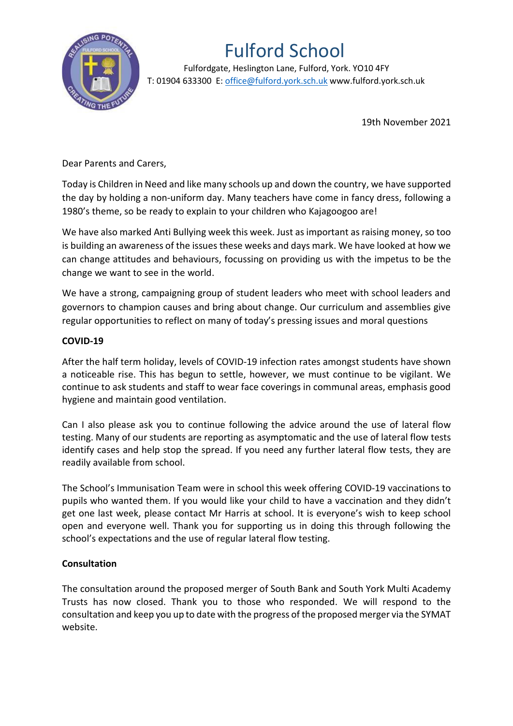

## Fulford School

 Fulfordgate, Heslington Lane, Fulford, York. YO10 4FY T: 01904 633300 E: office@fulford.york.sch.uk www.fulford.york.sch.uk

19th November 2021

Dear Parents and Carers,

Today is Children in Need and like many schools up and down the country, we have supported the day by holding a non-uniform day. Many teachers have come in fancy dress, following a 1980's theme, so be ready to explain to your children who Kajagoogoo are!

We have also marked Anti Bullying week this week. Just as important as raising money, so too is building an awareness of the issues these weeks and days mark. We have looked at how we can change attitudes and behaviours, focussing on providing us with the impetus to be the change we want to see in the world.

We have a strong, campaigning group of student leaders who meet with school leaders and governors to champion causes and bring about change. Our curriculum and assemblies give regular opportunities to reflect on many of today's pressing issues and moral questions

## **COVID-19**

After the half term holiday, levels of COVID-19 infection rates amongst students have shown a noticeable rise. This has begun to settle, however, we must continue to be vigilant. We continue to ask students and staff to wear face coverings in communal areas, emphasis good hygiene and maintain good ventilation.

Can I also please ask you to continue following the advice around the use of lateral flow testing. Many of our students are reporting as asymptomatic and the use of lateral flow tests identify cases and help stop the spread. If you need any further lateral flow tests, they are readily available from school.

The School's Immunisation Team were in school this week offering COVID-19 vaccinations to pupils who wanted them. If you would like your child to have a vaccination and they didn't get one last week, please contact Mr Harris at school. It is everyone's wish to keep school open and everyone well. Thank you for supporting us in doing this through following the school's expectations and the use of regular lateral flow testing.

## **Consultation**

The consultation around the proposed merger of South Bank and South York Multi Academy Trusts has now closed. Thank you to those who responded. We will respond to the consultation and keep you up to date with the progress of the proposed merger via the SYMAT website.